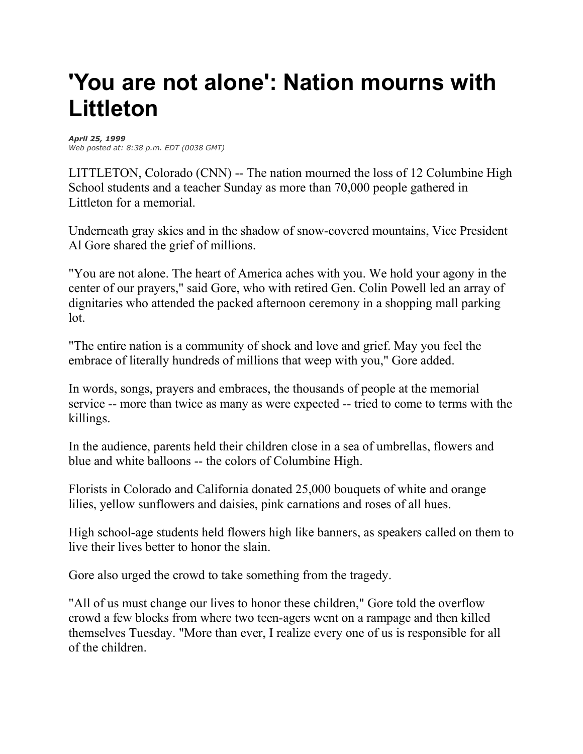## **'You are not alone': Nation mourns with Littleton**

*April 25, 1999 Web posted at: 8:38 p.m. EDT (0038 GMT)*

LITTLETON, Colorado (CNN) -- The nation mourned the loss of 12 Columbine High School students and a teacher Sunday as more than 70,000 people gathered in Littleton for a memorial.

Underneath gray skies and in the shadow of snow-covered mountains, Vice President Al Gore shared the grief of millions.

"You are not alone. The heart of America aches with you. We hold your agony in the center of our prayers," said Gore, who with retired Gen. Colin Powell led an array of dignitaries who attended the packed afternoon ceremony in a shopping mall parking lot.

"The entire nation is a community of shock and love and grief. May you feel the embrace of literally hundreds of millions that weep with you," Gore added.

In words, songs, prayers and embraces, the thousands of people at the memorial service -- more than twice as many as were expected -- tried to come to terms with the killings.

In the audience, parents held their children close in a sea of umbrellas, flowers and blue and white balloons -- the colors of Columbine High.

Florists in Colorado and California donated 25,000 bouquets of white and orange lilies, yellow sunflowers and daisies, pink carnations and roses of all hues.

High school-age students held flowers high like banners, as speakers called on them to live their lives better to honor the slain.

Gore also urged the crowd to take something from the tragedy.

"All of us must change our lives to honor these children," Gore told the overflow crowd a few blocks from where two teen-agers went on a rampage and then killed themselves Tuesday. "More than ever, I realize every one of us is responsible for all of the children.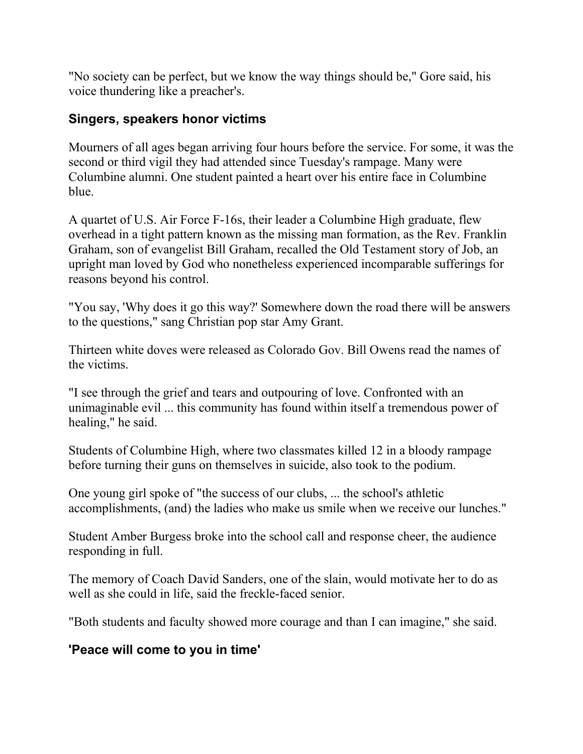"No society can be perfect, but we know the way things should be," Gore said, his voice thundering like a preacher's.

## **Singers, speakers honor victims**

Mourners of all ages began arriving four hours before the service. For some, it was the second or third vigil they had attended since Tuesday's rampage. Many were Columbine alumni. One student painted a heart over his entire face in Columbine blue.

A quartet of U.S. Air Force F-16s, their leader a Columbine High graduate, flew overhead in a tight pattern known as the missing man formation, as the Rev. Franklin Graham, son of evangelist Bill Graham, recalled the Old Testament story of Job, an upright man loved by God who nonetheless experienced incomparable sufferings for reasons beyond his control.

"You say, 'Why does it go this way?' Somewhere down the road there will be answers to the questions," sang Christian pop star Amy Grant.

Thirteen white doves were released as Colorado Gov. Bill Owens read the names of the victims.

"I see through the grief and tears and outpouring of love. Confronted with an unimaginable evil ... this community has found within itself a tremendous power of healing," he said.

Students of Columbine High, where two classmates killed 12 in a bloody rampage before turning their guns on themselves in suicide, also took to the podium.

One young girl spoke of "the success of our clubs, ... the school's athletic accomplishments, (and) the ladies who make us smile when we receive our lunches."

Student Amber Burgess broke into the school call and response cheer, the audience responding in full.

The memory of Coach David Sanders, one of the slain, would motivate her to do as well as she could in life, said the freckle-faced senior.

"Both students and faculty showed more courage and than I can imagine," she said.

## **'Peace will come to you in time'**